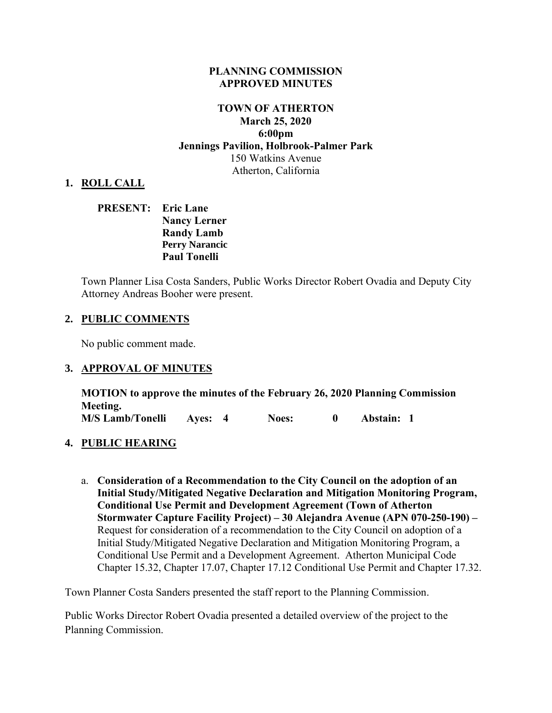#### **PLANNING COMMISSION APPROVED MINUTES**

## **TOWN OF ATHERTON March 25, 2020 6:00pm Jennings Pavilion, Holbrook-Palmer Park**  150 Watkins Avenue Atherton, California

## **1. ROLL CALL**

## **PRESENT: Eric Lane Nancy Lerner Randy Lamb Perry Narancic Paul Tonelli**

Town Planner Lisa Costa Sanders, Public Works Director Robert Ovadia and Deputy City Attorney Andreas Booher were present.

#### **2. PUBLIC COMMENTS**

No public comment made.

#### **3. APPROVAL OF MINUTES**

**MOTION to approve the minutes of the February 26, 2020 Planning Commission Meeting. M/S Lamb/Tonelli Ayes: 4 Noes: 0 Abstain: 1**

#### **4. PUBLIC HEARING**

a. **Consideration of a Recommendation to the City Council on the adoption of an Initial Study/Mitigated Negative Declaration and Mitigation Monitoring Program, Conditional Use Permit and Development Agreement (Town of Atherton Stormwater Capture Facility Project) – 30 Alejandra Avenue (APN 070-250-190) –** Request for consideration of a recommendation to the City Council on adoption of a Initial Study/Mitigated Negative Declaration and Mitigation Monitoring Program, a Conditional Use Permit and a Development Agreement. Atherton Municipal Code Chapter 15.32, Chapter 17.07, Chapter 17.12 Conditional Use Permit and Chapter 17.32.

Town Planner Costa Sanders presented the staff report to the Planning Commission.

Public Works Director Robert Ovadia presented a detailed overview of the project to the Planning Commission.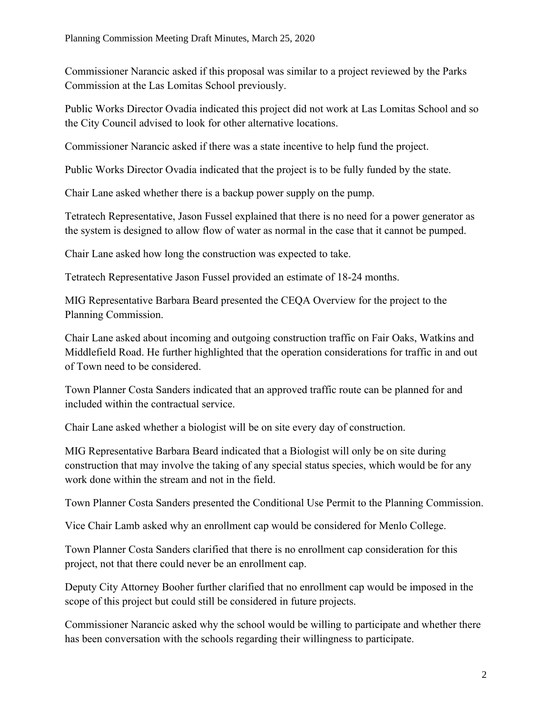Commissioner Narancic asked if this proposal was similar to a project reviewed by the Parks Commission at the Las Lomitas School previously.

Public Works Director Ovadia indicated this project did not work at Las Lomitas School and so the City Council advised to look for other alternative locations.

Commissioner Narancic asked if there was a state incentive to help fund the project.

Public Works Director Ovadia indicated that the project is to be fully funded by the state.

Chair Lane asked whether there is a backup power supply on the pump.

Tetratech Representative, Jason Fussel explained that there is no need for a power generator as the system is designed to allow flow of water as normal in the case that it cannot be pumped.

Chair Lane asked how long the construction was expected to take.

Tetratech Representative Jason Fussel provided an estimate of 18-24 months.

MIG Representative Barbara Beard presented the CEQA Overview for the project to the Planning Commission.

Chair Lane asked about incoming and outgoing construction traffic on Fair Oaks, Watkins and Middlefield Road. He further highlighted that the operation considerations for traffic in and out of Town need to be considered.

Town Planner Costa Sanders indicated that an approved traffic route can be planned for and included within the contractual service.

Chair Lane asked whether a biologist will be on site every day of construction.

MIG Representative Barbara Beard indicated that a Biologist will only be on site during construction that may involve the taking of any special status species, which would be for any work done within the stream and not in the field.

Town Planner Costa Sanders presented the Conditional Use Permit to the Planning Commission.

Vice Chair Lamb asked why an enrollment cap would be considered for Menlo College.

Town Planner Costa Sanders clarified that there is no enrollment cap consideration for this project, not that there could never be an enrollment cap.

Deputy City Attorney Booher further clarified that no enrollment cap would be imposed in the scope of this project but could still be considered in future projects.

Commissioner Narancic asked why the school would be willing to participate and whether there has been conversation with the schools regarding their willingness to participate.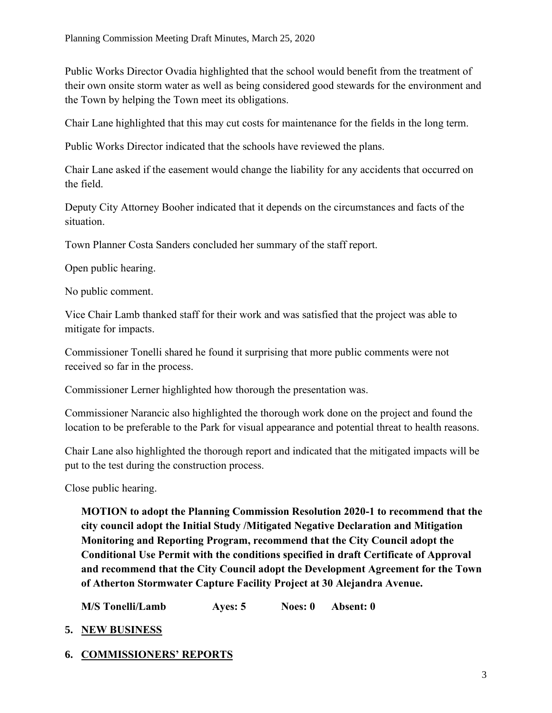Public Works Director Ovadia highlighted that the school would benefit from the treatment of their own onsite storm water as well as being considered good stewards for the environment and the Town by helping the Town meet its obligations.

Chair Lane highlighted that this may cut costs for maintenance for the fields in the long term.

Public Works Director indicated that the schools have reviewed the plans.

Chair Lane asked if the easement would change the liability for any accidents that occurred on the field.

Deputy City Attorney Booher indicated that it depends on the circumstances and facts of the situation.

Town Planner Costa Sanders concluded her summary of the staff report.

Open public hearing.

No public comment.

Vice Chair Lamb thanked staff for their work and was satisfied that the project was able to mitigate for impacts.

Commissioner Tonelli shared he found it surprising that more public comments were not received so far in the process.

Commissioner Lerner highlighted how thorough the presentation was.

Commissioner Narancic also highlighted the thorough work done on the project and found the location to be preferable to the Park for visual appearance and potential threat to health reasons.

Chair Lane also highlighted the thorough report and indicated that the mitigated impacts will be put to the test during the construction process.

Close public hearing.

**MOTION to adopt the Planning Commission Resolution 2020-1 to recommend that the city council adopt the Initial Study /Mitigated Negative Declaration and Mitigation Monitoring and Reporting Program, recommend that the City Council adopt the Conditional Use Permit with the conditions specified in draft Certificate of Approval and recommend that the City Council adopt the Development Agreement for the Town of Atherton Stormwater Capture Facility Project at 30 Alejandra Avenue.**

**M/S Tonelli/Lamb Ayes: 5 Noes: 0 Absent: 0**

- **5. NEW BUSINESS**
- **6. COMMISSIONERS' REPORTS**